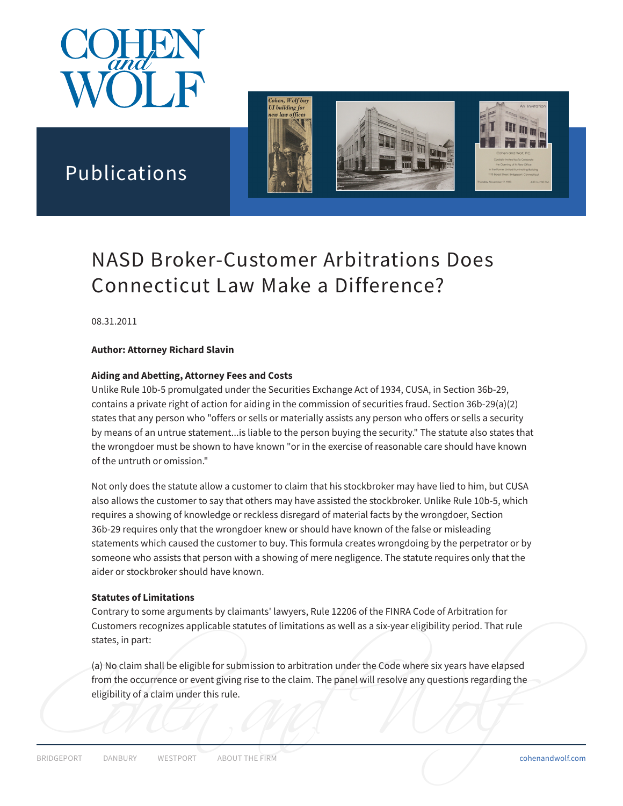



# Publications

# NASD Broker-Customer Arbitrations Does Connecticut Law Make a Difference?

08.31.2011

#### **Author: Attorney Richard Slavin**

#### **Aiding and Abetting, Attorney Fees and Costs**

Unlike Rule 10b-5 promulgated under the Securities Exchange Act of 1934, CUSA, in Section 36b-29, contains a private right of action for aiding in the commission of securities fraud. Section 36b-29(a)(2) states that any person who "offers or sells or materially assists any person who offers or sells a security by means of an untrue statement...is liable to the person buying the security." The statute also states that the wrongdoer must be shown to have known "or in the exercise of reasonable care should have known of the untruth or omission."

Not only does the statute allow a customer to claim that his stockbroker may have lied to him, but CUSA also allows the customer to say that others may have assisted the stockbroker. Unlike Rule 10b-5, which requires a showing of knowledge or reckless disregard of material facts by the wrongdoer, Section 36b-29 requires only that the wrongdoer knew or should have known of the false or misleading statements which caused the customer to buy. This formula creates wrongdoing by the perpetrator or by someone who assists that person with a showing of mere negligence. The statute requires only that the aider or stockbroker should have known.

#### **Statutes of Limitations**

Contrary to some arguments by claimants' lawyers, Rule 12206 of the FINRA Code of Arbitration for Customers recognizes applicable statutes of limitations as well as a six-year eligibility period. That rule states, in part:

Explore Contains and Contains and Contains and Contains and Contains and Contains and Contains and Contains and Contains and Contains and Contains and Contains and Contains and Contains and Contains and Contains and Contai (a) No claim shall be eligible for submission to arbitration under the Code where six years have elapsed from the occurrence or event giving rise to the claim. The panel will resolve any questions regarding the eligibility of a claim under this rule.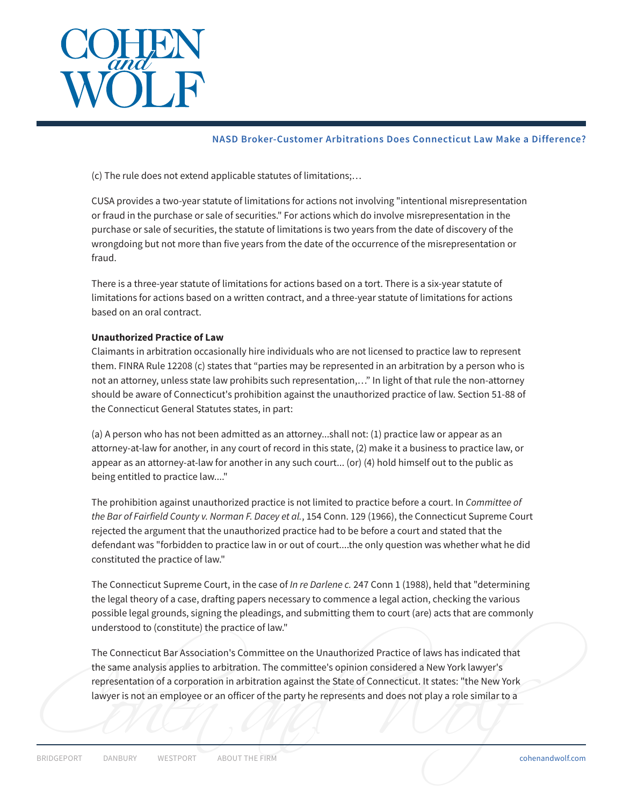

#### **NASD Broker-Customer Arbitrations Does Connecticut Law Make a Difference?**

(c) The rule does not extend applicable statutes of limitations;…

CUSA provides a two-year statute of limitations for actions not involving "intentional misrepresentation or fraud in the purchase or sale of securities." For actions which do involve misrepresentation in the purchase or sale of securities, the statute of limitations is two years from the date of discovery of the wrongdoing but not more than five years from the date of the occurrence of the misrepresentation or fraud.

There is a three-year statute of limitations for actions based on a tort. There is a six-year statute of limitations for actions based on a written contract, and a three-year statute of limitations for actions based on an oral contract.

#### **Unauthorized Practice of Law**

Claimants in arbitration occasionally hire individuals who are not licensed to practice law to represent them. FINRA Rule 12208 (c) states that "parties may be represented in an arbitration by a person who is not an attorney, unless state law prohibits such representation,…" In light of that rule the non-attorney should be aware of Connecticut's prohibition against the unauthorized practice of law. Section 51-88 of the Connecticut General Statutes states, in part:

(a) A person who has not been admitted as an attorney...shall not: (1) practice law or appear as an attorney-at-law for another, in any court of record in this state, (2) make it a business to practice law, or appear as an attorney-at-law for another in any such court... (or) (4) hold himself out to the public as being entitled to practice law...."

The prohibition against unauthorized practice is not limited to practice before a court. In *Committee of the Bar of Fairfield County v. Norman F. Dacey et al.*, 154 Conn. 129 (1966), the Connecticut Supreme Court rejected the argument that the unauthorized practice had to be before a court and stated that the defendant was "forbidden to practice law in or out of court....the only question was whether what he did constituted the practice of law."

The Connecticut Supreme Court, in the case of *In re Darlene c.* 247 Conn 1 (1988), held that "determining the legal theory of a case, drafting papers necessary to commence a legal action, checking the various possible legal grounds, signing the pleadings, and submitting them to court (are) acts that are commonly understood to (constitute) the practice of law."

Expresentation of a corporation in a bitration against the state of connecticut. It states: the New York<br>lawyer is not an employee or an officer of the party he represents and does not play a role similar to a<br>prince port The Connecticut Bar Association's Committee on the Unauthorized Practice of laws has indicated that the same analysis applies to arbitration. The committee's opinion considered a New York lawyer's representation of a corporation in arbitration against the State of Connecticut. It states: "the New York lawyer is not an employee or an officer of the party he represents and does not play a role similar to a